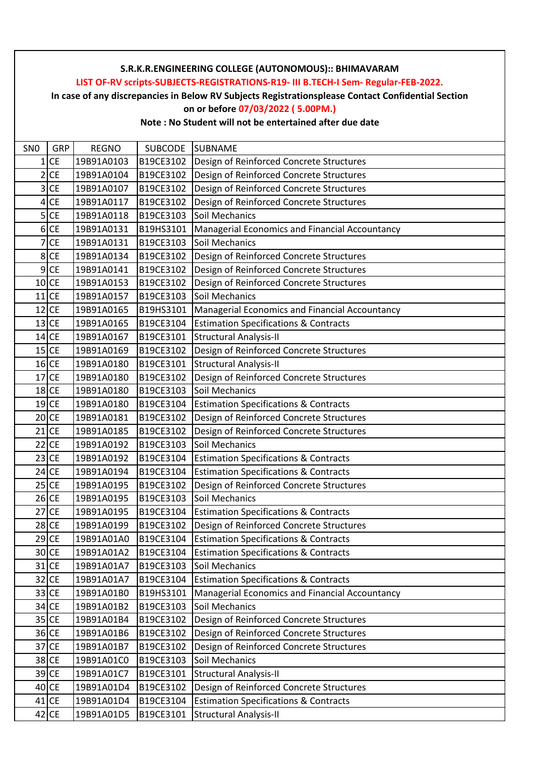**LIST OF-RV scripts-SUBJECTS-REGISTRATIONS-R19- III B.TECH-I Sem- Regular-FEB-2022.**

**In case of any discrepancies in Below RV Subjects Registrationsplease Contact Confidential Section**

## **on or before 07/03/2022 ( 5.00PM.)**

| SN <sub>0</sub>         | GRP               | <b>REGNO</b> | <b>SUBCODE</b> | <b>SUBNAME</b>                                   |
|-------------------------|-------------------|--------------|----------------|--------------------------------------------------|
| 1                       | <b>CE</b>         | 19B91A0103   | B19CE3102      | Design of Reinforced Concrete Structures         |
| 2                       | <b>CE</b>         | 19B91A0104   | B19CE3102      | Design of Reinforced Concrete Structures         |
| $\overline{\mathbf{3}}$ | <b>CE</b>         | 19B91A0107   | B19CE3102      | Design of Reinforced Concrete Structures         |
|                         | $4$ CE            | 19B91A0117   | B19CE3102      | Design of Reinforced Concrete Structures         |
|                         | $5$ CE            | 19B91A0118   | B19CE3103      | Soil Mechanics                                   |
| 6                       | <b>CE</b>         | 19B91A0131   | B19HS3101      | Managerial Economics and Financial Accountancy   |
| 7                       | CE                | 19B91A0131   | B19CE3103      | Soil Mechanics                                   |
| 8                       | <b>CE</b>         | 19B91A0134   | B19CE3102      | Design of Reinforced Concrete Structures         |
|                         | $9$ CE            | 19B91A0141   | B19CE3102      | Design of Reinforced Concrete Structures         |
|                         | $10$ CE           | 19B91A0153   | B19CE3102      | Design of Reinforced Concrete Structures         |
|                         | $11$ CE           | 19B91A0157   | B19CE3103      | Soil Mechanics                                   |
|                         | $12$ CE           | 19B91A0165   | B19HS3101      | Managerial Economics and Financial Accountancy   |
|                         | $13$ CE           | 19B91A0165   | B19CE3104      | <b>Estimation Specifications &amp; Contracts</b> |
|                         | 14 CE             | 19B91A0167   | B19CE3101      | <b>Structural Analysis-II</b>                    |
|                         | $15$ CE           | 19B91A0169   | B19CE3102      | Design of Reinforced Concrete Structures         |
|                         | $16$ CE           | 19B91A0180   | B19CE3101      | <b>Structural Analysis-II</b>                    |
|                         | $17$ CE           | 19B91A0180   | B19CE3102      | Design of Reinforced Concrete Structures         |
|                         | $18$ CE           | 19B91A0180   | B19CE3103      | Soil Mechanics                                   |
|                         | $19$ CE           | 19B91A0180   | B19CE3104      | <b>Estimation Specifications &amp; Contracts</b> |
|                         | $20$ CE           | 19B91A0181   | B19CE3102      | Design of Reinforced Concrete Structures         |
|                         | $21$ CE           | 19B91A0185   | B19CE3102      | Design of Reinforced Concrete Structures         |
|                         | 22 CE             | 19B91A0192   | B19CE3103      | Soil Mechanics                                   |
|                         | $23$ CE           | 19B91A0192   | B19CE3104      | <b>Estimation Specifications &amp; Contracts</b> |
|                         | $24$ CE           | 19B91A0194   | B19CE3104      | <b>Estimation Specifications &amp; Contracts</b> |
|                         | $25$ CE           | 19B91A0195   | B19CE3102      | Design of Reinforced Concrete Structures         |
|                         | $26$ CE           | 19B91A0195   | B19CE3103      | Soil Mechanics                                   |
|                         | 27 CE             | 19B91A0195   | B19CE3104      | <b>Estimation Specifications &amp; Contracts</b> |
|                         | 28 CE             | 19B91A0199   | B19CE3102      | Design of Reinforced Concrete Structures         |
|                         | $29$ CE           | 19B91A01A0   | B19CE3104      | <b>Estimation Specifications &amp; Contracts</b> |
|                         | 30 <sub>ICE</sub> | 19B91A01A2   | B19CE3104      | <b>Estimation Specifications &amp; Contracts</b> |
|                         | $31$ CE           | 19B91A01A7   | B19CE3103      | Soil Mechanics                                   |
|                         | $32$ CE           | 19B91A01A7   | B19CE3104      | <b>Estimation Specifications &amp; Contracts</b> |
|                         | 33 CE             | 19B91A01B0   | B19HS3101      | Managerial Economics and Financial Accountancy   |
|                         | $34$ CE           | 19B91A01B2   | B19CE3103      | Soil Mechanics                                   |
|                         | $35$ CE           | 19B91A01B4   | B19CE3102      | Design of Reinforced Concrete Structures         |
|                         | 36 CE             | 19B91A01B6   | B19CE3102      | Design of Reinforced Concrete Structures         |
|                         | $37$ CE           | 19B91A01B7   | B19CE3102      | Design of Reinforced Concrete Structures         |
|                         | 38 CE             | 19B91A01C0   | B19CE3103      | Soil Mechanics                                   |
|                         | 39 CE             | 19B91A01C7   | B19CE3101      | <b>Structural Analysis-II</b>                    |
|                         | 40 CE             | 19B91A01D4   | B19CE3102      | Design of Reinforced Concrete Structures         |
|                         | 41 CE             | 19B91A01D4   | B19CE3104      | <b>Estimation Specifications &amp; Contracts</b> |
|                         | $42$ CE           | 19B91A01D5   | B19CE3101      | <b>Structural Analysis-II</b>                    |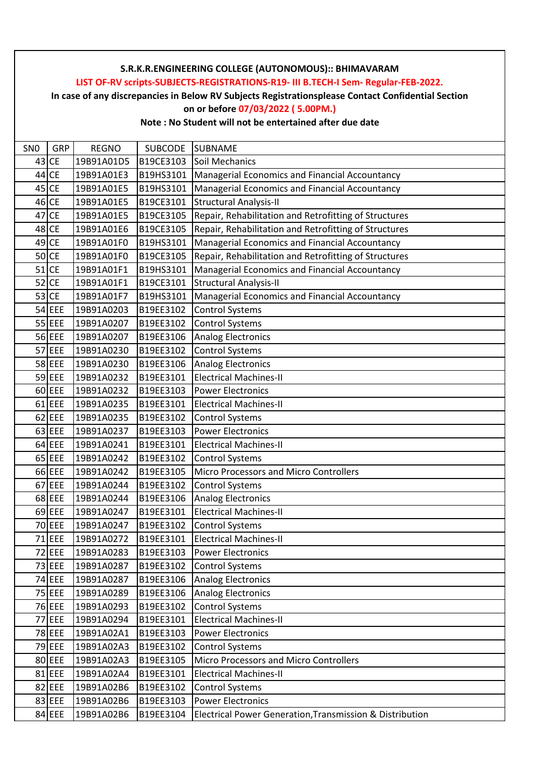**LIST OF-RV scripts-SUBJECTS-REGISTRATIONS-R19- III B.TECH-I Sem- Regular-FEB-2022.**

**In case of any discrepancies in Below RV Subjects Registrationsplease Contact Confidential Section**

#### **on or before 07/03/2022 ( 5.00PM.)**

| SN <sub>0</sub> | GRP       | <b>REGNO</b> | SUBCODE   | <b>SUBNAME</b>                                           |
|-----------------|-----------|--------------|-----------|----------------------------------------------------------|
|                 | 43 CE     | 19B91A01D5   | B19CE3103 | Soil Mechanics                                           |
| 44              | <b>CE</b> | 19B91A01E3   | B19HS3101 | Managerial Economics and Financial Accountancy           |
|                 | 45 CE     | 19B91A01E5   | B19HS3101 | Managerial Economics and Financial Accountancy           |
|                 | 46 CE     | 19B91A01E5   | B19CE3101 | <b>Structural Analysis-II</b>                            |
|                 | 47 CE     | 19B91A01E5   | B19CE3105 | Repair, Rehabilitation and Retrofitting of Structures    |
|                 | 48 CE     | 19B91A01E6   | B19CE3105 | Repair, Rehabilitation and Retrofitting of Structures    |
|                 | 49 CE     | 19B91A01F0   | B19HS3101 | Managerial Economics and Financial Accountancy           |
|                 | $50$ CE   | 19B91A01F0   | B19CE3105 | Repair, Rehabilitation and Retrofitting of Structures    |
|                 | $51$ CE   | 19B91A01F1   | B19HS3101 | Managerial Economics and Financial Accountancy           |
|                 | $52$ CE   | 19B91A01F1   | B19CE3101 | Structural Analysis-II                                   |
|                 | 53 CE     | 19B91A01F7   | B19HS3101 | Managerial Economics and Financial Accountancy           |
|                 | 54 EEE    | 19B91A0203   | B19EE3102 | <b>Control Systems</b>                                   |
|                 | 55 EEE    | 19B91A0207   | B19EE3102 | <b>Control Systems</b>                                   |
|                 | 56 EEE    | 19B91A0207   | B19EE3106 | Analog Electronics                                       |
|                 | 57 EEE    | 19B91A0230   | B19EE3102 | <b>Control Systems</b>                                   |
|                 | 58 EEE    | 19B91A0230   | B19EE3106 | <b>Analog Electronics</b>                                |
|                 | 59 EEE    | 19B91A0232   | B19EE3101 | <b>Electrical Machines-II</b>                            |
|                 | 60 EEE    | 19B91A0232   | B19EE3103 | <b>Power Electronics</b>                                 |
|                 | 61 EEE    | 19B91A0235   | B19EE3101 | <b>Electrical Machines-II</b>                            |
|                 | $62$ EEE  | 19B91A0235   | B19EE3102 | <b>Control Systems</b>                                   |
|                 | 63 EEE    | 19B91A0237   | B19EE3103 | <b>Power Electronics</b>                                 |
|                 | $64$ EEE  | 19B91A0241   | B19EE3101 | <b>Electrical Machines-II</b>                            |
|                 | $65$ EEE  | 19B91A0242   | B19EE3102 | <b>Control Systems</b>                                   |
|                 | 66 EEE    | 19B91A0242   | B19EE3105 | Micro Processors and Micro Controllers                   |
|                 | 67 EEE    | 19B91A0244   | B19EE3102 | <b>Control Systems</b>                                   |
|                 | 68 EEE    | 19B91A0244   | B19EE3106 | <b>Analog Electronics</b>                                |
|                 | $69$ EEE  | 19B91A0247   | B19EE3101 | <b>Electrical Machines-II</b>                            |
|                 | 70 EEE    | 19B91A0247   | B19EE3102 | <b>Control Systems</b>                                   |
|                 | 71 EEE    | 19B91A0272   | B19EE3101 | <b>Electrical Machines-II</b>                            |
|                 | 72 EEE    | 19B91A0283   | B19EE3103 | <b>Power Electronics</b>                                 |
|                 | 73 EEE    | 19B91A0287   | B19EE3102 | <b>Control Systems</b>                                   |
|                 | 74 EEE    | 19B91A0287   | B19EE3106 | <b>Analog Electronics</b>                                |
|                 | 75 EEE    | 19B91A0289   | B19EE3106 | <b>Analog Electronics</b>                                |
|                 | 76 EEE    | 19B91A0293   | B19EE3102 | <b>Control Systems</b>                                   |
|                 | 77 EEE    | 19B91A0294   | B19EE3101 | <b>Electrical Machines-II</b>                            |
|                 | 78 EEE    | 19B91A02A1   | B19EE3103 | <b>Power Electronics</b>                                 |
|                 | 79 EEE    | 19B91A02A3   | B19EE3102 | <b>Control Systems</b>                                   |
|                 | 80 EEE    | 19B91A02A3   | B19EE3105 | Micro Processors and Micro Controllers                   |
|                 | 81 EEE    | 19B91A02A4   | B19EE3101 | <b>Electrical Machines-II</b>                            |
|                 | 82 EEE    | 19B91A02B6   | B19EE3102 | <b>Control Systems</b>                                   |
|                 | 83 EEE    | 19B91A02B6   | B19EE3103 | <b>Power Electronics</b>                                 |
|                 | 84 EEE    | 19B91A02B6   | B19EE3104 | Electrical Power Generation, Transmission & Distribution |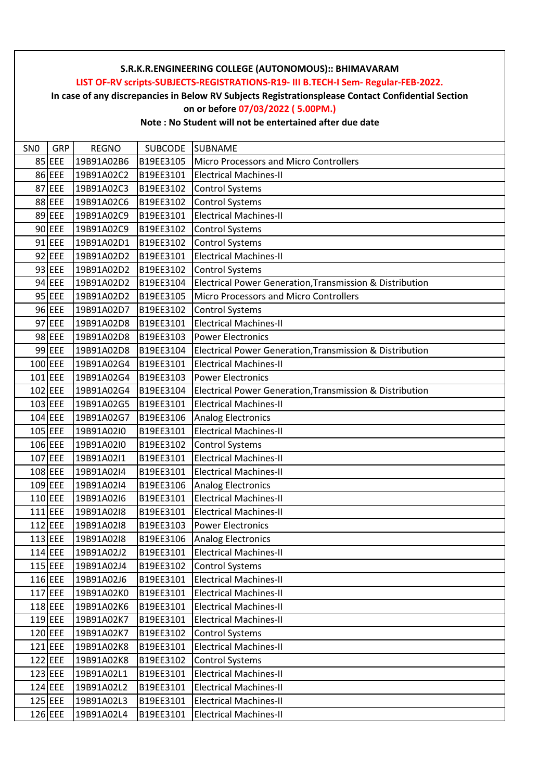**LIST OF-RV scripts-SUBJECTS-REGISTRATIONS-R19- III B.TECH-I Sem- Regular-FEB-2022.**

**In case of any discrepancies in Below RV Subjects Registrationsplease Contact Confidential Section**

### **on or before 07/03/2022 ( 5.00PM.)**

| SN <sub>0</sub> | GRP       | <b>REGNO</b> | SUBCODE SUBNAME |                                                          |
|-----------------|-----------|--------------|-----------------|----------------------------------------------------------|
|                 | 85 EEE    | 19B91A02B6   | B19EE3105       | Micro Processors and Micro Controllers                   |
|                 | 86 EEE    | 19B91A02C2   | B19EE3101       | <b>Electrical Machines-II</b>                            |
|                 | 87 EEE    | 19B91A02C3   | B19EE3102       | <b>Control Systems</b>                                   |
|                 | 88 EEE    | 19B91A02C6   | B19EE3102       | Control Systems                                          |
|                 | 89 EEE    | 19B91A02C9   | B19EE3101       | <b>Electrical Machines-II</b>                            |
|                 | 90 EEE    | 19B91A02C9   | B19EE3102       | <b>Control Systems</b>                                   |
|                 | $91$ EEE  | 19B91A02D1   | B19EE3102       | <b>Control Systems</b>                                   |
|                 | $92$ EEE  | 19B91A02D2   | B19EE3101       | <b>Electrical Machines-II</b>                            |
|                 | 93 EEE    | 19B91A02D2   | B19EE3102       | <b>Control Systems</b>                                   |
|                 | $94$ EEE  | 19B91A02D2   | B19EE3104       | Electrical Power Generation, Transmission & Distribution |
|                 | $95$ EEE  | 19B91A02D2   | B19EE3105       | <b>Micro Processors and Micro Controllers</b>            |
|                 | 96 EEE    | 19B91A02D7   | B19EE3102       | <b>Control Systems</b>                                   |
|                 | 97 EEE    | 19B91A02D8   | B19EE3101       | <b>Electrical Machines-II</b>                            |
|                 | 98 EEE    | 19B91A02D8   | B19EE3103       | <b>Power Electronics</b>                                 |
|                 | 99 EEE    | 19B91A02D8   | B19EE3104       | Electrical Power Generation, Transmission & Distribution |
|                 | 100 EEE   | 19B91A02G4   | B19EE3101       | <b>Electrical Machines-II</b>                            |
|                 | $101$ EEE | 19B91A02G4   | B19EE3103       | <b>Power Electronics</b>                                 |
|                 | 102 EEE   | 19B91A02G4   | B19EE3104       | Electrical Power Generation, Transmission & Distribution |
|                 | 103 EEE   | 19B91A02G5   | B19EE3101       | <b>Electrical Machines-II</b>                            |
|                 | $104$ EEE | 19B91A02G7   | B19EE3106       | <b>Analog Electronics</b>                                |
|                 | 105 EEE   | 19B91A02I0   | B19EE3101       | <b>Electrical Machines-II</b>                            |
|                 | 106 EEE   | 19B91A02I0   | B19EE3102       | <b>Control Systems</b>                                   |
|                 | $107$ EEE | 19B91A02I1   | B19EE3101       | <b>Electrical Machines-II</b>                            |
|                 | 108 EEE   | 19B91A02I4   | B19EE3101       | <b>Electrical Machines-II</b>                            |
|                 | 109 EEE   | 19B91A02I4   | B19EE3106       | <b>Analog Electronics</b>                                |
|                 | 110 EEE   | 19B91A02I6   | B19EE3101       | <b>Electrical Machines-II</b>                            |
|                 | $111$ EEE | 19B91A02I8   | B19EE3101       | <b>Electrical Machines-II</b>                            |
|                 | $112$ EEE | 19B91A02I8   | B19EE3103       | <b>Power Electronics</b>                                 |
|                 | $113$ EEE | 19B91A02I8   | B19EE3106       | <b>Analog Electronics</b>                                |
|                 | 114 EEE   | 19B91A02J2   | B19EE3101       | <b>Electrical Machines-II</b>                            |
|                 | $115$ EEE | 19B91A02J4   | B19EE3102       | <b>Control Systems</b>                                   |
|                 | 116 EEE   | 19B91A02J6   | B19EE3101       | <b>Electrical Machines-II</b>                            |
|                 | 117 EEE   | 19B91A02K0   | B19EE3101       | <b>Electrical Machines-II</b>                            |
|                 | 118 EEE   | 19B91A02K6   | B19EE3101       | <b>Electrical Machines-II</b>                            |
|                 | $119$ EEE | 19B91A02K7   | B19EE3101       | <b>Electrical Machines-II</b>                            |
|                 | 120 EEE   | 19B91A02K7   | B19EE3102       | <b>Control Systems</b>                                   |
|                 | 121 EEE   | 19B91A02K8   | B19EE3101       | <b>Electrical Machines-II</b>                            |
|                 | $122$ EEE | 19B91A02K8   | B19EE3102       | <b>Control Systems</b>                                   |
|                 | 123 EEE   | 19B91A02L1   | B19EE3101       | <b>Electrical Machines-II</b>                            |
|                 | 124 EEE   | 19B91A02L2   | B19EE3101       | <b>Electrical Machines-II</b>                            |
|                 | $125$ EEE | 19B91A02L3   | B19EE3101       | <b>Electrical Machines-II</b>                            |
|                 | 126 EEE   | 19B91A02L4   | B19EE3101       | <b>Electrical Machines-II</b>                            |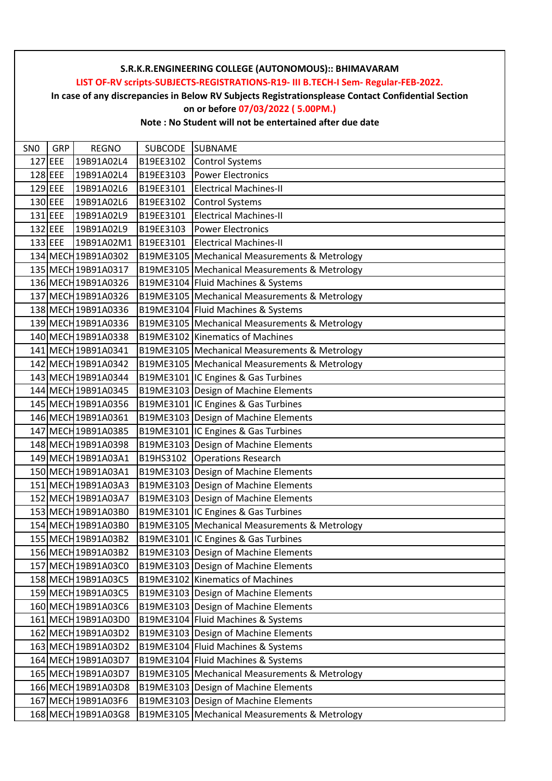**LIST OF-RV scripts-SUBJECTS-REGISTRATIONS-R19- III B.TECH-I Sem- Regular-FEB-2022.**

**In case of any discrepancies in Below RV Subjects Registrationsplease Contact Confidential Section**

## **on or before 07/03/2022 ( 5.00PM.)**

| SN <sub>0</sub> | <b>GRP</b> | <b>REGNO</b>        | SUBCODE SUBNAME |                                                 |
|-----------------|------------|---------------------|-----------------|-------------------------------------------------|
|                 | $127$ EEE  | 19B91A02L4          | B19EE3102       | <b>Control Systems</b>                          |
|                 | $128$ EEE  | 19B91A02L4          | B19EE3103       | <b>Power Electronics</b>                        |
|                 | $129$ EEE  | 19B91A02L6          | B19EE3101       | <b>Electrical Machines-II</b>                   |
|                 | 130 EEE    | 19B91A02L6          | B19EE3102       | <b>Control Systems</b>                          |
|                 | $131$ EEE  | 19B91A02L9          | B19EE3101       | <b>Electrical Machines-II</b>                   |
|                 | $132$ EEE  | 19B91A02L9          | B19EE3103       | <b>Power Electronics</b>                        |
|                 | $133$ EEE  | 19B91A02M1          | B19EE3101       | <b>Electrical Machines-II</b>                   |
|                 |            | 134 MECH 19B91A0302 |                 | B19ME3105   Mechanical Measurements & Metrology |
|                 |            | 135 MECH 19B91A0317 |                 | B19ME3105 Mechanical Measurements & Metrology   |
|                 |            | 136 MECH 19B91A0326 |                 | B19ME3104 Fluid Machines & Systems              |
|                 |            | 137 MECH 19B91A0326 |                 | B19ME3105 Mechanical Measurements & Metrology   |
|                 |            | 138 MECH 19B91A0336 |                 | B19ME3104 Fluid Machines & Systems              |
|                 |            | 139 MECH 19B91A0336 |                 | B19ME3105 Mechanical Measurements & Metrology   |
|                 |            | 140 MECH 19B91A0338 |                 | B19ME3102 Kinematics of Machines                |
|                 |            | 141 MECH 19B91A0341 |                 | B19ME3105 Mechanical Measurements & Metrology   |
|                 |            | 142 MECH 19B91A0342 |                 | B19ME3105   Mechanical Measurements & Metrology |
|                 |            | 143 MECH 19B91A0344 |                 | B19ME3101 IC Engines & Gas Turbines             |
|                 |            | 144 MECH 19B91A0345 |                 | B19ME3103 Design of Machine Elements            |
|                 |            | 145 MECH 19B91A0356 |                 | B19ME3101 IC Engines & Gas Turbines             |
|                 |            | 146 MECH 19B91A0361 |                 | B19ME3103 Design of Machine Elements            |
|                 |            | 147 MECH 19B91A0385 |                 | B19ME3101 IC Engines & Gas Turbines             |
|                 |            | 148 MECH 19B91A0398 |                 | B19ME3103 Design of Machine Elements            |
|                 |            | 149 MECH 19B91A03A1 |                 | B19HS3102 Operations Research                   |
|                 |            | 150 MECH 19B91A03A1 |                 | B19ME3103 Design of Machine Elements            |
|                 |            | 151 MECH 19B91A03A3 |                 | B19ME3103 Design of Machine Elements            |
|                 |            | 152 MECH 19B91A03A7 |                 | B19ME3103 Design of Machine Elements            |
|                 |            | 153 MECH 19B91A03B0 |                 | B19ME3101 IC Engines & Gas Turbines             |
|                 |            | 154 MECH 19B91A03B0 |                 | B19ME3105 Mechanical Measurements & Metrology   |
|                 |            | 155 MECH 19B91A03B2 |                 | B19ME3101 IC Engines & Gas Turbines             |
|                 |            | 156 MECH 19B91A03B2 |                 | B19ME3103 Design of Machine Elements            |
|                 |            | 157 MECH 19B91A03C0 |                 | B19ME3103 Design of Machine Elements            |
|                 |            | 158 MECH 19B91A03C5 |                 | B19ME3102 Kinematics of Machines                |
|                 |            | 159 MECH 19B91A03C5 |                 | B19ME3103 Design of Machine Elements            |
|                 |            | 160 MECH 19B91A03C6 |                 | B19ME3103 Design of Machine Elements            |
|                 |            | 161 MECH 19B91A03D0 |                 | B19ME3104 Fluid Machines & Systems              |
|                 |            | 162 MECH 19B91A03D2 |                 | B19ME3103 Design of Machine Elements            |
|                 |            | 163 MECH 19B91A03D2 |                 | B19ME3104 Fluid Machines & Systems              |
|                 |            | 164 MECH 19B91A03D7 |                 | B19ME3104 Fluid Machines & Systems              |
|                 |            | 165 MECH 19B91A03D7 |                 | B19ME3105 Mechanical Measurements & Metrology   |
|                 |            | 166 MECH 19B91A03D8 |                 | B19ME3103 Design of Machine Elements            |
|                 |            | 167 MECH 19B91A03F6 |                 | B19ME3103 Design of Machine Elements            |
|                 |            | 168 MECH 19B91A03G8 |                 | B19ME3105 Mechanical Measurements & Metrology   |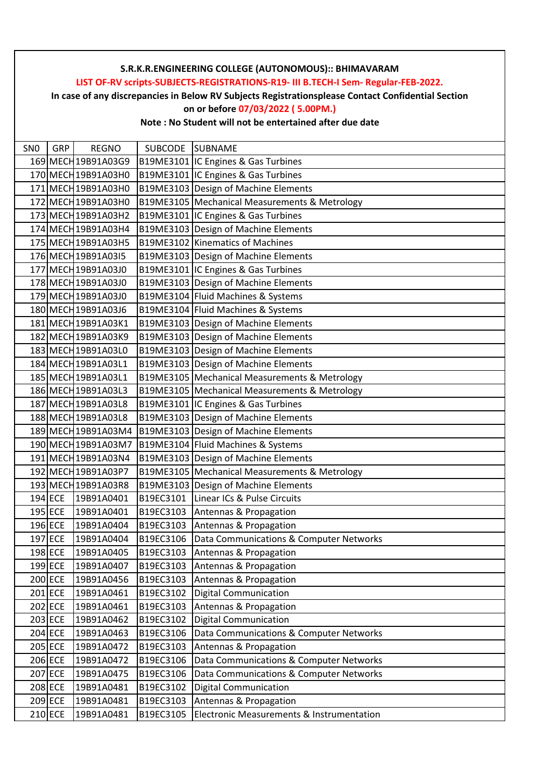# SNO GRP REGNO SUBCODE SUBNAME **S.R.K.R.ENGINEERING COLLEGE (AUTONOMOUS):: BHIMAVARAM LIST OF-RV scripts-SUBJECTS-REGISTRATIONS-R19- III B.TECH-I Sem- Regular-FEB-2022. In case of any discrepancies in Below RV Subjects Registrationsplease Contact Confidential Section on or before 07/03/2022 ( 5.00PM.) Note : No Student will not be entertained after due date** 169 MECH19B91A03G9 B19ME3101 IC Engines & Gas Turbines 170 MECH 19B91A03H0 | B19ME3101 IC Engines & Gas Turbines 171 MECH 19B91A03H0 B19ME3103 Design of Machine Elements 172 MECH19B91A03H0 B19ME3105 Mechanical Measurements & Metrology 173 MECH19B91A03H2 B19ME3101 IC Engines & Gas Turbines 174 MECH19B91A03H4 B19ME3103 Design of Machine Elements 175 MECH 19B91A03H5 B19ME3102 Kinematics of Machines 176 MECH 19B91A03I5 | B19ME3103 Design of Machine Elements 177 MECH 19B91A03J0 | B19ME3101 IC Engines & Gas Turbines 178 MECH 19B91A03J0 | B19ME3103 Design of Machine Elements 179 MECH19B91A03J0 B19ME3104 Fluid Machines & Systems 180 MECH 19B91A03J6 | B19ME3104 Fluid Machines & Systems 181 MECH 19B91A03K1 | B19ME3103 Design of Machine Elements 182 MECH 19B91A03K9 B19ME3103 Design of Machine Elements 183 MECH 19B91A03L0 | B19ME3103 Design of Machine Elements 184 MECH19B91A03L1 B19ME3103 Design of Machine Elements 185 MECH19B91A03L1 B19ME3105 Mechanical Measurements & Metrology 186 MECH19B91A03L3 B19ME3105 Mechanical Measurements & Metrology 187 MECH 19B91A03L8 | B19ME3101 IC Engines & Gas Turbines 188 MECH 19B91A03L8 B19ME3103 Design of Machine Elements 189 MECH 19B91A03M4 B19ME3103 Design of Machine Elements 190 MECH19B91A03M7 B19ME3104 Fluid Machines & Systems 191 MECH19B91A03N4 B19ME3103 Design of Machine Elements 192 MECH19B91A03P7 B19ME3105 Mechanical Measurements & Metrology 193 MECH19B91A03R8 B19ME3103 Design of Machine Elements 194 ECE 19B91A0401 B19EC3101 Linear ICs & Pulse Circuits 195 ECE 19B91A0401 B19EC3103 Antennas & Propagation 196 ECE 19B91A0404 B19EC3103 Antennas & Propagation 197 ECE 19B91A0404 B19EC3106 Data Communications & Computer Networks 198 ECE 19B91A0405 B19EC3103 Antennas & Propagation 199 ECE 19B91A0407 B19EC3103 Antennas & Propagation 200 ECE 19B91A0456 B19EC3103 Antennas & Propagation 201 ECE 19B91A0461 B19EC3102 Digital Communication 202 ECE 19B91A0461 B19EC3103 Antennas & Propagation 203 ECE 19B91A0462 B19EC3102 Digital Communication 204 ECE 19B91A0463 B19EC3106 Data Communications & Computer Networks 205 ECE 19B91A0472 B19EC3103 Antennas & Propagation 206 ECE 19B91A0472 B19EC3106 Data Communications & Computer Networks 207 ECE 19B91A0475 B19EC3106 Data Communications & Computer Networks 208 ECE 19B91A0481 B19EC3102 Digital Communication 209 ECE 19B91A0481 B19EC3103 Antennas & Propagation 210 ECE 19B91A0481 B19EC3105 Electronic Measurements & Instrumentation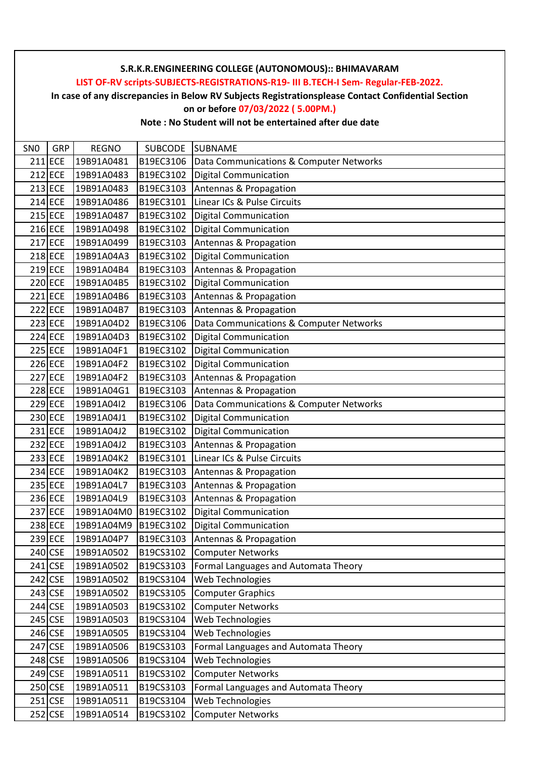**LIST OF-RV scripts-SUBJECTS-REGISTRATIONS-R19- III B.TECH-I Sem- Regular-FEB-2022.**

**In case of any discrepancies in Below RV Subjects Registrationsplease Contact Confidential Section**

### **on or before 07/03/2022 ( 5.00PM.)**

| SN <sub>0</sub> | GRP            | <b>REGNO</b> | <b>SUBCODE</b> | <b>SUBNAME</b>                          |
|-----------------|----------------|--------------|----------------|-----------------------------------------|
|                 | 211 ECE        | 19B91A0481   | B19EC3106      | Data Communications & Computer Networks |
|                 | 212 ECE        | 19B91A0483   | B19EC3102      | <b>Digital Communication</b>            |
|                 | $213$ ECE      | 19B91A0483   | B19EC3103      | Antennas & Propagation                  |
|                 | 214 ECE        | 19B91A0486   | B19EC3101      | Linear ICs & Pulse Circuits             |
|                 | 215 ECE        | 19B91A0487   | B19EC3102      | <b>Digital Communication</b>            |
|                 | 216 ECE        | 19B91A0498   | B19EC3102      | <b>Digital Communication</b>            |
|                 | 217 ECE        | 19B91A0499   | B19EC3103      | Antennas & Propagation                  |
|                 | 218 ECE        | 19B91A04A3   | B19EC3102      | <b>Digital Communication</b>            |
|                 | $219$ ECE      | 19B91A04B4   | B19EC3103      | Antennas & Propagation                  |
|                 | 220 ECE        | 19B91A04B5   | B19EC3102      | <b>Digital Communication</b>            |
|                 | 221 ECE        | 19B91A04B6   | B19EC3103      | Antennas & Propagation                  |
|                 | 222 ECE        | 19B91A04B7   | B19EC3103      | Antennas & Propagation                  |
|                 | 223 ECE        | 19B91A04D2   | B19EC3106      | Data Communications & Computer Networks |
|                 | 224 ECE        | 19B91A04D3   | B19EC3102      | <b>Digital Communication</b>            |
|                 | 225 ECE        | 19B91A04F1   | B19EC3102      | <b>Digital Communication</b>            |
|                 | 226 ECE        | 19B91A04F2   | B19EC3102      | <b>Digital Communication</b>            |
|                 | 227 ECE        | 19B91A04F2   | B19EC3103      | Antennas & Propagation                  |
|                 | <b>228 ECE</b> | 19B91A04G1   | B19EC3103      | Antennas & Propagation                  |
|                 | 229 ECE        | 19B91A04I2   | B19EC3106      | Data Communications & Computer Networks |
|                 | 230 ECE        | 19B91A04J1   | B19EC3102      | <b>Digital Communication</b>            |
|                 | 231 ECE        | 19B91A04J2   | B19EC3102      | <b>Digital Communication</b>            |
|                 | 232 ECE        | 19B91A04J2   | B19EC3103      | Antennas & Propagation                  |
|                 | 233 ECE        | 19B91A04K2   | B19EC3101      | Linear ICs & Pulse Circuits             |
|                 | 234 ECE        | 19B91A04K2   | B19EC3103      | Antennas & Propagation                  |
|                 | 235 ECE        | 19B91A04L7   | B19EC3103      | Antennas & Propagation                  |
|                 | 236 ECE        | 19B91A04L9   | B19EC3103      | Antennas & Propagation                  |
|                 | 237 ECE        | 19B91A04M0   | B19EC3102      | <b>Digital Communication</b>            |
|                 | 238 ECE        | 19B91A04M9   | B19EC3102      | <b>Digital Communication</b>            |
|                 | 239 ECE        | 19B91A04P7   | B19EC3103      | Antennas & Propagation                  |
|                 | 240 CSE        | 19B91A0502   | B19CS3102      | <b>Computer Networks</b>                |
|                 | 241 CSE        | 19B91A0502   | B19CS3103      | Formal Languages and Automata Theory    |
|                 | 242 CSE        | 19B91A0502   | B19CS3104      | Web Technologies                        |
|                 | 243 CSE        | 19B91A0502   | B19CS3105      | <b>Computer Graphics</b>                |
|                 | 244 CSE        | 19B91A0503   | B19CS3102      | <b>Computer Networks</b>                |
|                 | 245 CSE        | 19B91A0503   | B19CS3104      | Web Technologies                        |
|                 | 246 CSE        | 19B91A0505   | B19CS3104      | Web Technologies                        |
|                 | 247 CSE        | 19B91A0506   | B19CS3103      | Formal Languages and Automata Theory    |
|                 | 248 CSE        | 19B91A0506   | B19CS3104      | Web Technologies                        |
|                 | 249 CSE        | 19B91A0511   | B19CS3102      | <b>Computer Networks</b>                |
|                 | 250 CSE        | 19B91A0511   | B19CS3103      | Formal Languages and Automata Theory    |
|                 | $251$ CSE      | 19B91A0511   | B19CS3104      | Web Technologies                        |
|                 | 252 CSE        | 19B91A0514   | B19CS3102      | <b>Computer Networks</b>                |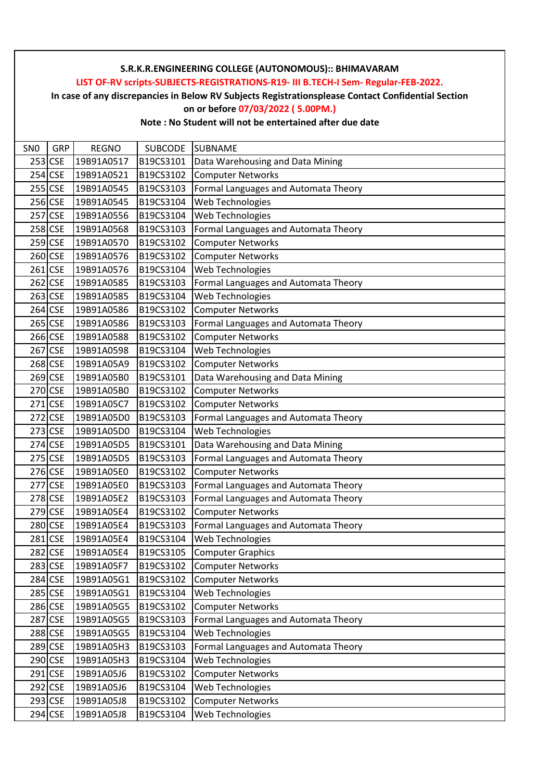**LIST OF-RV scripts-SUBJECTS-REGISTRATIONS-R19- III B.TECH-I Sem- Regular-FEB-2022.**

**In case of any discrepancies in Below RV Subjects Registrationsplease Contact Confidential Section**

**on or before 07/03/2022 ( 5.00PM.)**

| SN <sub>0</sub> | <b>GRP</b> | <b>REGNO</b> | SUBCODE   | <b>SUBNAME</b>                       |
|-----------------|------------|--------------|-----------|--------------------------------------|
|                 | $253$ CSE  | 19B91A0517   | B19CS3101 | Data Warehousing and Data Mining     |
|                 | $254$ CSE  | 19B91A0521   | B19CS3102 | <b>Computer Networks</b>             |
|                 | 255 CSE    | 19B91A0545   | B19CS3103 | Formal Languages and Automata Theory |
|                 | 256 CSE    | 19B91A0545   | B19CS3104 | Web Technologies                     |
|                 | 257 CSE    | 19B91A0556   | B19CS3104 | Web Technologies                     |
|                 | 258 CSE    | 19B91A0568   | B19CS3103 | Formal Languages and Automata Theory |
|                 | 259 CSE    | 19B91A0570   | B19CS3102 | <b>Computer Networks</b>             |
|                 | 260 CSE    | 19B91A0576   | B19CS3102 | <b>Computer Networks</b>             |
|                 | $261$ CSE  | 19B91A0576   | B19CS3104 | Web Technologies                     |
|                 | $262$ CSE  | 19B91A0585   | B19CS3103 | Formal Languages and Automata Theory |
|                 | 263 CSE    | 19B91A0585   | B19CS3104 | Web Technologies                     |
|                 | $264$ CSE  | 19B91A0586   | B19CS3102 | <b>Computer Networks</b>             |
|                 | 265 CSE    | 19B91A0586   | B19CS3103 | Formal Languages and Automata Theory |
|                 | 266 CSE    | 19B91A0588   | B19CS3102 | <b>Computer Networks</b>             |
|                 | 267 CSE    | 19B91A0598   | B19CS3104 | Web Technologies                     |
|                 | 268 CSE    | 19B91A05A9   | B19CS3102 | <b>Computer Networks</b>             |
|                 | $269$ CSE  | 19B91A05B0   | B19CS3101 | Data Warehousing and Data Mining     |
|                 | 270 CSE    | 19B91A05B0   | B19CS3102 | <b>Computer Networks</b>             |
|                 | 271 CSE    | 19B91A05C7   | B19CS3102 | <b>Computer Networks</b>             |
|                 | 272 CSE    | 19B91A05D0   | B19CS3103 | Formal Languages and Automata Theory |
|                 | 273 CSE    | 19B91A05D0   | B19CS3104 | Web Technologies                     |
|                 | 274 CSE    | 19B91A05D5   | B19CS3101 | Data Warehousing and Data Mining     |
|                 | 275 CSE    | 19B91A05D5   | B19CS3103 | Formal Languages and Automata Theory |
|                 | 276 CSE    | 19B91A05E0   | B19CS3102 | <b>Computer Networks</b>             |
|                 | 277 CSE    | 19B91A05E0   | B19CS3103 | Formal Languages and Automata Theory |
|                 | 278 CSE    | 19B91A05E2   | B19CS3103 | Formal Languages and Automata Theory |
|                 | 279 CSE    | 19B91A05E4   | B19CS3102 | <b>Computer Networks</b>             |
|                 | 280 CSE    | 19B91A05E4   | B19CS3103 | Formal Languages and Automata Theory |
|                 | 281 CSE    | 19B91A05E4   | B19CS3104 | Web Technologies                     |
|                 | 282 CSE    | 19B91A05E4   | B19CS3105 | <b>Computer Graphics</b>             |
|                 | 283 CSE    | 19B91A05F7   | B19CS3102 | <b>Computer Networks</b>             |
|                 | 284 CSE    | 19B91A05G1   | B19CS3102 | <b>Computer Networks</b>             |
|                 | 285 CSE    | 19B91A05G1   | B19CS3104 | Web Technologies                     |
|                 | 286 CSE    | 19B91A05G5   | B19CS3102 | <b>Computer Networks</b>             |
|                 | 287 CSE    | 19B91A05G5   | B19CS3103 | Formal Languages and Automata Theory |
|                 | 288 CSE    | 19B91A05G5   | B19CS3104 | Web Technologies                     |
|                 | 289 CSE    | 19B91A05H3   | B19CS3103 | Formal Languages and Automata Theory |
|                 | 290 CSE    | 19B91A05H3   | B19CS3104 | Web Technologies                     |
|                 | 291 CSE    | 19B91A05J6   | B19CS3102 | <b>Computer Networks</b>             |
|                 | 292 CSE    | 19B91A05J6   | B19CS3104 | Web Technologies                     |
|                 | 293 CSE    | 19B91A05J8   | B19CS3102 | <b>Computer Networks</b>             |
|                 | 294 CSE    | 19B91A05J8   | B19CS3104 | Web Technologies                     |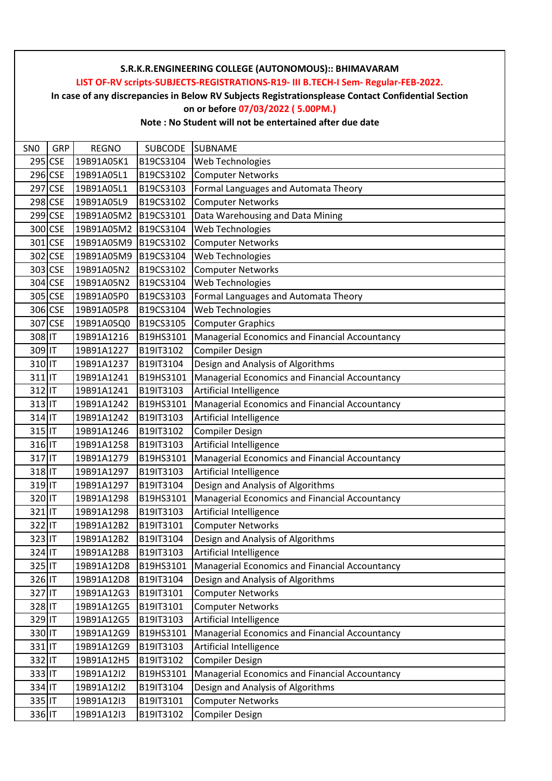**LIST OF-RV scripts-SUBJECTS-REGISTRATIONS-R19- III B.TECH-I Sem- Regular-FEB-2022.**

**In case of any discrepancies in Below RV Subjects Registrationsplease Contact Confidential Section**

#### **on or before 07/03/2022 ( 5.00PM.)**

| SN <sub>0</sub> | GRP     | <b>REGNO</b> | SUBCODE   | <b>SUBNAME</b>                                 |
|-----------------|---------|--------------|-----------|------------------------------------------------|
|                 | 295 CSE | 19B91A05K1   | B19CS3104 | Web Technologies                               |
|                 | 296 CSE | 19B91A05L1   | B19CS3102 | <b>Computer Networks</b>                       |
|                 | 297 CSE | 19B91A05L1   | B19CS3103 | Formal Languages and Automata Theory           |
|                 | 298 CSE | 19B91A05L9   | B19CS3102 | <b>Computer Networks</b>                       |
|                 | 299 CSE | 19B91A05M2   | B19CS3101 | Data Warehousing and Data Mining               |
|                 | 300 CSE | 19B91A05M2   | B19CS3104 | Web Technologies                               |
|                 | 301 CSE | 19B91A05M9   | B19CS3102 | <b>Computer Networks</b>                       |
|                 | 302 CSE | 19B91A05M9   | B19CS3104 | Web Technologies                               |
|                 | 303 CSE | 19B91A05N2   | B19CS3102 | <b>Computer Networks</b>                       |
|                 | 304 CSE | 19B91A05N2   | B19CS3104 | Web Technologies                               |
|                 | 305 CSE | 19B91A05P0   | B19CS3103 | Formal Languages and Automata Theory           |
|                 | 306 CSE | 19B91A05P8   | B19CS3104 | Web Technologies                               |
|                 | 307 CSE | 19B91A05Q0   | B19CS3105 | <b>Computer Graphics</b>                       |
| 308 IT          |         | 19B91A1216   | B19HS3101 | Managerial Economics and Financial Accountancy |
| 309 IT          |         | 19B91A1227   | B19IT3102 | <b>Compiler Design</b>                         |
| 310 IT          |         | 19B91A1237   | B19IT3104 | Design and Analysis of Algorithms              |
| $311$ IT        |         | 19B91A1241   | B19HS3101 | Managerial Economics and Financial Accountancy |
| 312 IT          |         | 19B91A1241   | B19IT3103 | Artificial Intelligence                        |
| $313$ IT        |         | 19B91A1242   | B19HS3101 | Managerial Economics and Financial Accountancy |
| 314 IT          |         | 19B91A1242   | B19IT3103 | Artificial Intelligence                        |
| 315 IT          |         | 19B91A1246   | B19IT3102 | <b>Compiler Design</b>                         |
| 316 IT          |         | 19B91A1258   | B19IT3103 | Artificial Intelligence                        |
| 317 IT          |         | 19B91A1279   | B19HS3101 | Managerial Economics and Financial Accountancy |
| 318 IT          |         | 19B91A1297   | B19IT3103 | Artificial Intelligence                        |
| 319 IT          |         | 19B91A1297   | B19IT3104 | Design and Analysis of Algorithms              |
| 320 IT          |         | 19B91A1298   | B19HS3101 | Managerial Economics and Financial Accountancy |
| 321 IT          |         | 19B91A1298   | B19IT3103 | Artificial Intelligence                        |
| 322 IT          |         | 19B91A12B2   | B19IT3101 | <b>Computer Networks</b>                       |
| 323 IT          |         | 19B91A12B2   | B19IT3104 | Design and Analysis of Algorithms              |
| 324 IT          |         | 19B91A12B8   | B19IT3103 | <b>Artificial Intelligence</b>                 |
| 325 IT          |         | 19B91A12D8   | B19HS3101 | Managerial Economics and Financial Accountancy |
| 326 IT          |         | 19B91A12D8   | B19IT3104 | Design and Analysis of Algorithms              |
| 327 IT          |         | 19B91A12G3   | B19IT3101 | <b>Computer Networks</b>                       |
| 328 IT          |         | 19B91A12G5   | B19IT3101 | <b>Computer Networks</b>                       |
| 329 IT          |         | 19B91A12G5   | B19IT3103 | Artificial Intelligence                        |
| 330 IT          |         | 19B91A12G9   | B19HS3101 | Managerial Economics and Financial Accountancy |
| 331 IT          |         | 19B91A12G9   | B19IT3103 | Artificial Intelligence                        |
| 332 IT          |         | 19B91A12H5   | B19IT3102 | <b>Compiler Design</b>                         |
| 333 IT          |         | 19B91A12I2   | B19HS3101 | Managerial Economics and Financial Accountancy |
| 334 IT          |         | 19B91A12I2   | B19IT3104 | Design and Analysis of Algorithms              |
| 335 IT          |         | 19B91A12I3   | B19IT3101 | <b>Computer Networks</b>                       |
| 336 IT          |         | 19B91A12I3   | B19IT3102 | <b>Compiler Design</b>                         |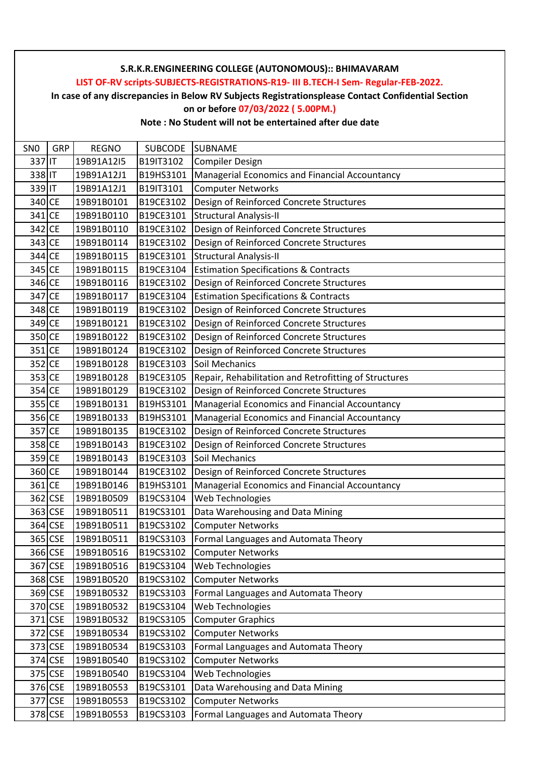**LIST OF-RV scripts-SUBJECTS-REGISTRATIONS-R19- III B.TECH-I Sem- Regular-FEB-2022.**

**In case of any discrepancies in Below RV Subjects Registrationsplease Contact Confidential Section**

## **on or before 07/03/2022 ( 5.00PM.)**

| SN <sub>0</sub> | <b>GRP</b> | <b>REGNO</b> | <b>SUBCODE</b> | <b>SUBNAME</b>                                        |
|-----------------|------------|--------------|----------------|-------------------------------------------------------|
| 337 IT          |            | 19B91A12I5   | B19IT3102      | Compiler Design                                       |
| 338 IT          |            | 19B91A12J1   | B19HS3101      | Managerial Economics and Financial Accountancy        |
| 339 IT          |            | 19B91A12J1   | B19IT3101      | <b>Computer Networks</b>                              |
| 340 CE          |            | 19B91B0101   | B19CE3102      | Design of Reinforced Concrete Structures              |
| 341 CE          |            | 19B91B0110   | B19CE3101      | <b>Structural Analysis-II</b>                         |
| 342 CE          |            | 19B91B0110   | B19CE3102      | Design of Reinforced Concrete Structures              |
| 343 CE          |            | 19B91B0114   | B19CE3102      | Design of Reinforced Concrete Structures              |
| 344 CE          |            | 19B91B0115   | B19CE3101      | <b>Structural Analysis-II</b>                         |
| 345 CE          |            | 19B91B0115   | B19CE3104      | <b>Estimation Specifications &amp; Contracts</b>      |
| 346 CE          |            | 19B91B0116   | B19CE3102      | Design of Reinforced Concrete Structures              |
| 347 CE          |            | 19B91B0117   | B19CE3104      | <b>Estimation Specifications &amp; Contracts</b>      |
| 348 CE          |            | 19B91B0119   | B19CE3102      | Design of Reinforced Concrete Structures              |
| 349 CE          |            | 19B91B0121   | B19CE3102      | Design of Reinforced Concrete Structures              |
| 350 CE          |            | 19B91B0122   | B19CE3102      | Design of Reinforced Concrete Structures              |
| 351 CE          |            | 19B91B0124   | B19CE3102      | Design of Reinforced Concrete Structures              |
| 352 CE          |            | 19B91B0128   | B19CE3103      | Soil Mechanics                                        |
| 353 CE          |            | 19B91B0128   | B19CE3105      | Repair, Rehabilitation and Retrofitting of Structures |
| 354 CE          |            | 19B91B0129   | B19CE3102      | Design of Reinforced Concrete Structures              |
| 355 CE          |            | 19B91B0131   | B19HS3101      | Managerial Economics and Financial Accountancy        |
| 356 CE          |            | 19B91B0133   | B19HS3101      | Managerial Economics and Financial Accountancy        |
| 357 CE          |            | 19B91B0135   | B19CE3102      | Design of Reinforced Concrete Structures              |
| 358 CE          |            | 19B91B0143   | B19CE3102      | Design of Reinforced Concrete Structures              |
| 359 CE          |            | 19B91B0143   | B19CE3103      | Soil Mechanics                                        |
| 360 CE          |            | 19B91B0144   | B19CE3102      | Design of Reinforced Concrete Structures              |
| 361 CE          |            | 19B91B0146   | B19HS3101      | Managerial Economics and Financial Accountancy        |
| 362 CSE         |            | 19B91B0509   | B19CS3104      | Web Technologies                                      |
|                 | 363 CSE    | 19B91B0511   | B19CS3101      | Data Warehousing and Data Mining                      |
|                 | 364 CSE    | 19B91B0511   | B19CS3102      | <b>Computer Networks</b>                              |
|                 | 365 CSE    | 19B91B0511   | B19CS3103      | Formal Languages and Automata Theory                  |
|                 | 366 CSE    | 19B91B0516   | B19CS3102      | <b>Computer Networks</b>                              |
|                 | 367 CSE    | 19B91B0516   | B19CS3104      | Web Technologies                                      |
|                 | 368 CSE    | 19B91B0520   | B19CS3102      | <b>Computer Networks</b>                              |
|                 | 369 CSE    | 19B91B0532   | B19CS3103      | Formal Languages and Automata Theory                  |
|                 | 370 CSE    | 19B91B0532   | B19CS3104      | Web Technologies                                      |
|                 | 371 CSE    | 19B91B0532   | B19CS3105      | <b>Computer Graphics</b>                              |
|                 | 372 CSE    | 19B91B0534   | B19CS3102      | <b>Computer Networks</b>                              |
|                 | 373 CSE    | 19B91B0534   | B19CS3103      | Formal Languages and Automata Theory                  |
|                 | 374 CSE    | 19B91B0540   | B19CS3102      | <b>Computer Networks</b>                              |
|                 | 375 CSE    | 19B91B0540   | B19CS3104      | Web Technologies                                      |
|                 | 376 CSE    | 19B91B0553   | B19CS3101      | Data Warehousing and Data Mining                      |
|                 | 377 CSE    | 19B91B0553   | B19CS3102      | <b>Computer Networks</b>                              |
|                 | 378 CSE    | 19B91B0553   | B19CS3103      | Formal Languages and Automata Theory                  |